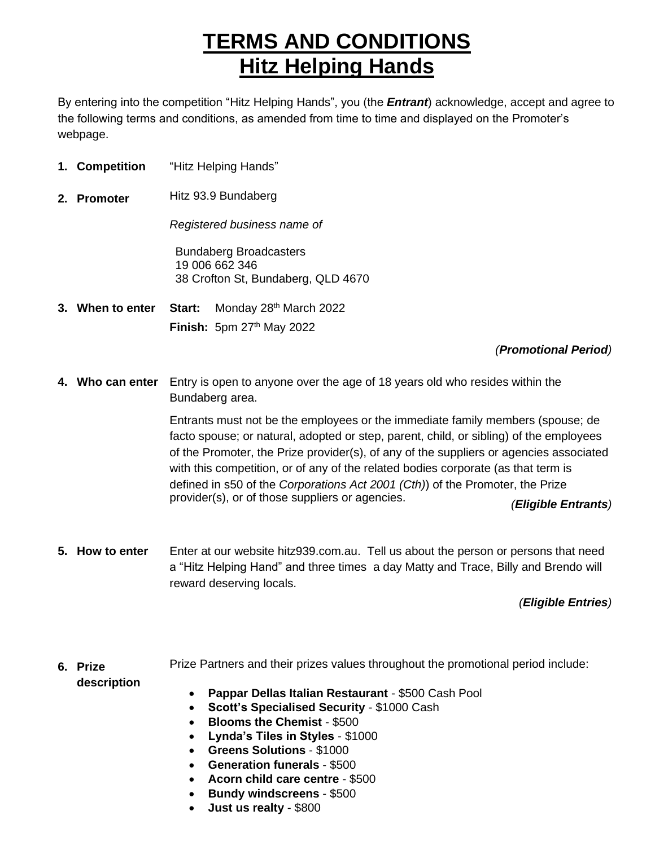## **TERMS AND CONDITIONS Hitz Helping Hands**

By entering into the competition "Hitz Helping Hands", you (the *Entrant*) acknowledge, accept and agree to the following terms and conditions, as amended from time to time and displayed on the Promoter's webpage.

- **1. Competition** "Hitz Helping Hands"
- **2. Promoter** Hitz 93.9 Bundaberg

*Registered business name of*

Bundaberg Broadcasters 19 006 662 346 38 Crofton St, Bundaberg, QLD 4670

**3. When to enter Start:** Monday 28<sup>th</sup> March 2022 **Finish:** 5pm 27<sup>th</sup> May 2022

## *(Promotional Period)*

**4. Who can enter** Entry is open to anyone over the age of 18 years old who resides within the Bundaberg area.

> Entrants must not be the employees or the immediate family members (spouse; de facto spouse; or natural, adopted or step, parent, child, or sibling) of the employees of the Promoter, the Prize provider(s), of any of the suppliers or agencies associated with this competition, or of any of the related bodies corporate (as that term is defined in s50 of the *Corporations Act 2001 (Cth)*) of the Promoter, the Prize provider(s), or of those suppliers or agencies. *(Eligible Entrants)*

**5. How to enter** Enter at our website hitz939.com.au. Tell us about the person or persons that need a "Hitz Helping Hand" and three times a day Matty and Trace, Billy and Brendo will reward deserving locals.

## *(Eligible Entries)*

## **6. Prize description** Prize Partners and their prizes values throughout the promotional period include:

- **Pappar Dellas Italian Restaurant** \$500 Cash Pool
- **Scott's Specialised Security**  \$1000 Cash
- **Blooms the Chemist**  \$500
- **Lynda's Tiles in Styles**  \$1000
- **Greens Solutions**  \$1000
- **Generation funerals**  \$500
- **Acorn child care centre**  \$500
- **Bundy windscreens**  \$500
- **Just us realty**  \$800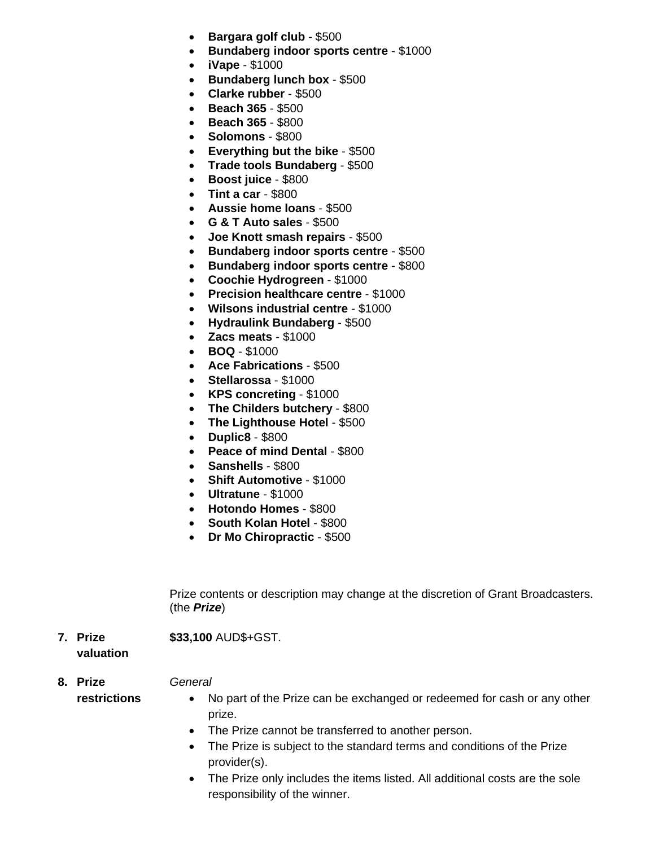- **Bargara golf club**  \$500
- **Bundaberg indoor sports centre**  \$1000
- **iVape**  \$1000
- **Bundaberg lunch box**  \$500
- **Clarke rubber**  \$500
- **Beach 365**  \$500
- **Beach 365**  \$800
- **Solomons**  \$800
- **Everything but the bike**  \$500
- **Trade tools Bundaberg**  \$500
- **Boost juice**  \$800
- **Tint a car**  \$800
- **Aussie home loans**  \$500
- **G & T Auto sales**  \$500
- **Joe Knott smash repairs**  \$500
- **Bundaberg indoor sports centre**  \$500
- **Bundaberg indoor sports centre**  \$800
- **Coochie Hydrogreen**  \$1000
- **Precision healthcare centre**  \$1000
- **Wilsons industrial centre**  \$1000
- **Hydraulink Bundaberg**  \$500
- **Zacs meats**  \$1000
- **BOQ**  \$1000
- **Ace Fabrications**  \$500
- **Stellarossa**  \$1000
- **KPS concreting**  \$1000
- **The Childers butchery**  \$800
- **The Lighthouse Hotel**  \$500
- **Duplic8**  \$800
- Peace of mind Dental \$800
- **Sanshells**  \$800
- **Shift Automotive**  \$1000
- **Ultratune**  \$1000
- **Hotondo Homes**  \$800
- **South Kolan Hotel**  \$800
- **Dr Mo Chiropractic**  \$500

Prize contents or description may change at the discretion of Grant Broadcasters. (the *Prize*)

**7. Prize valuation \$33,100** AUD\$+GST.

*General*

- **8. Prize restrictions**
- No part of the Prize can be exchanged or redeemed for cash or any other prize.
- The Prize cannot be transferred to another person.
- The Prize is subject to the standard terms and conditions of the Prize provider(s).
- The Prize only includes the items listed. All additional costs are the sole responsibility of the winner.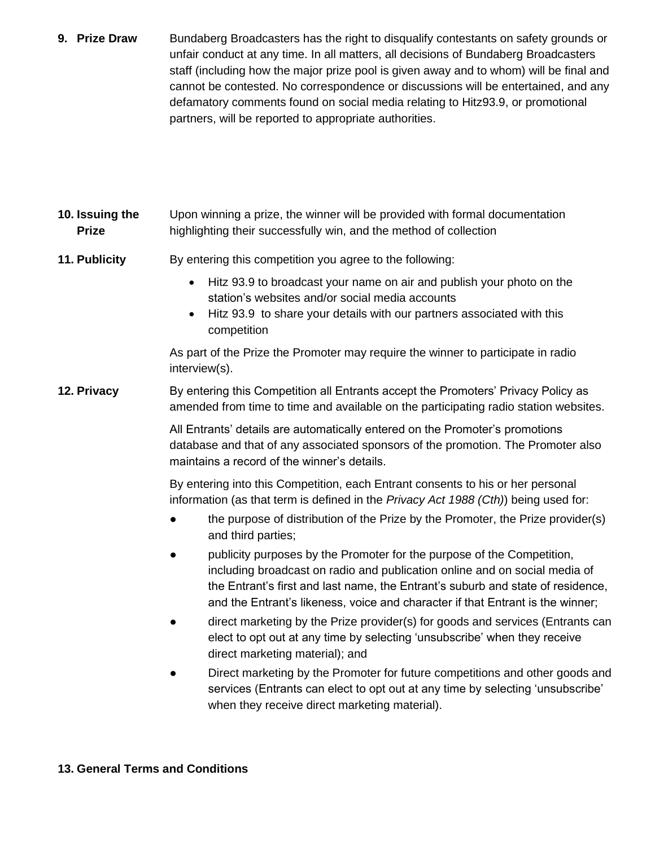- **9. Prize Draw** Bundaberg Broadcasters has the right to disqualify contestants on safety grounds or unfair conduct at any time. In all matters, all decisions of Bundaberg Broadcasters staff (including how the major prize pool is given away and to whom) will be final and cannot be contested. No correspondence or discussions will be entertained, and any defamatory comments found on social media relating to Hitz93.9, or promotional partners, will be reported to appropriate authorities.
- **10. Issuing the Prize** Upon winning a prize, the winner will be provided with formal documentation highlighting their successfully win, and the method of collection
- **11. Publicity** By entering this competition you agree to the following:
	- Hitz 93.9 to broadcast your name on air and publish your photo on the station's websites and/or social media accounts
	- Hitz 93.9 to share your details with our partners associated with this competition

As part of the Prize the Promoter may require the winner to participate in radio interview(s).

**12. Privacy** By entering this Competition all Entrants accept the Promoters' Privacy Policy as amended from time to time and available on the participating radio station websites.

> All Entrants' details are automatically entered on the Promoter's promotions database and that of any associated sponsors of the promotion. The Promoter also maintains a record of the winner's details.

By entering into this Competition, each Entrant consents to his or her personal information (as that term is defined in the *Privacy Act 1988 (Cth)*) being used for:

- the purpose of distribution of the Prize by the Promoter, the Prize provider(s) and third parties;
- publicity purposes by the Promoter for the purpose of the Competition, including broadcast on radio and publication online and on social media of the Entrant's first and last name, the Entrant's suburb and state of residence, and the Entrant's likeness, voice and character if that Entrant is the winner;
- direct marketing by the Prize provider(s) for goods and services (Entrants can elect to opt out at any time by selecting 'unsubscribe' when they receive direct marketing material); and
- Direct marketing by the Promoter for future competitions and other goods and services (Entrants can elect to opt out at any time by selecting 'unsubscribe' when they receive direct marketing material).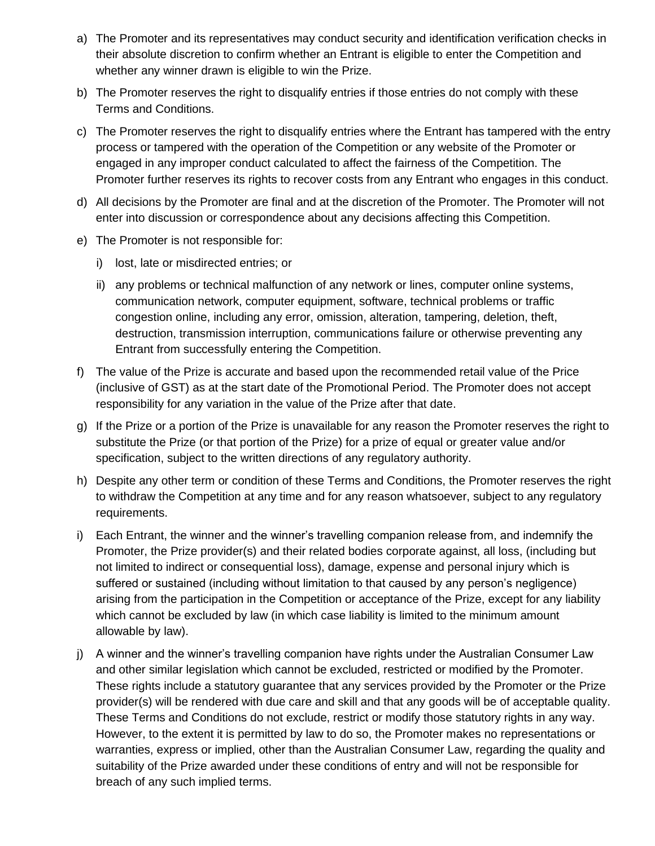- a) The Promoter and its representatives may conduct security and identification verification checks in their absolute discretion to confirm whether an Entrant is eligible to enter the Competition and whether any winner drawn is eligible to win the Prize.
- b) The Promoter reserves the right to disqualify entries if those entries do not comply with these Terms and Conditions.
- c) The Promoter reserves the right to disqualify entries where the Entrant has tampered with the entry process or tampered with the operation of the Competition or any website of the Promoter or engaged in any improper conduct calculated to affect the fairness of the Competition. The Promoter further reserves its rights to recover costs from any Entrant who engages in this conduct.
- d) All decisions by the Promoter are final and at the discretion of the Promoter. The Promoter will not enter into discussion or correspondence about any decisions affecting this Competition.
- e) The Promoter is not responsible for:
	- i) lost, late or misdirected entries; or
	- ii) any problems or technical malfunction of any network or lines, computer online systems, communication network, computer equipment, software, technical problems or traffic congestion online, including any error, omission, alteration, tampering, deletion, theft, destruction, transmission interruption, communications failure or otherwise preventing any Entrant from successfully entering the Competition.
- f) The value of the Prize is accurate and based upon the recommended retail value of the Price (inclusive of GST) as at the start date of the Promotional Period. The Promoter does not accept responsibility for any variation in the value of the Prize after that date.
- g) If the Prize or a portion of the Prize is unavailable for any reason the Promoter reserves the right to substitute the Prize (or that portion of the Prize) for a prize of equal or greater value and/or specification, subject to the written directions of any regulatory authority.
- h) Despite any other term or condition of these Terms and Conditions, the Promoter reserves the right to withdraw the Competition at any time and for any reason whatsoever, subject to any regulatory requirements.
- i) Each Entrant, the winner and the winner's travelling companion release from, and indemnify the Promoter, the Prize provider(s) and their related bodies corporate against, all loss, (including but not limited to indirect or consequential loss), damage, expense and personal injury which is suffered or sustained (including without limitation to that caused by any person's negligence) arising from the participation in the Competition or acceptance of the Prize, except for any liability which cannot be excluded by law (in which case liability is limited to the minimum amount allowable by law).
- j) A winner and the winner's travelling companion have rights under the Australian Consumer Law and other similar legislation which cannot be excluded, restricted or modified by the Promoter. These rights include a statutory guarantee that any services provided by the Promoter or the Prize provider(s) will be rendered with due care and skill and that any goods will be of acceptable quality. These Terms and Conditions do not exclude, restrict or modify those statutory rights in any way. However, to the extent it is permitted by law to do so, the Promoter makes no representations or warranties, express or implied, other than the Australian Consumer Law, regarding the quality and suitability of the Prize awarded under these conditions of entry and will not be responsible for breach of any such implied terms.